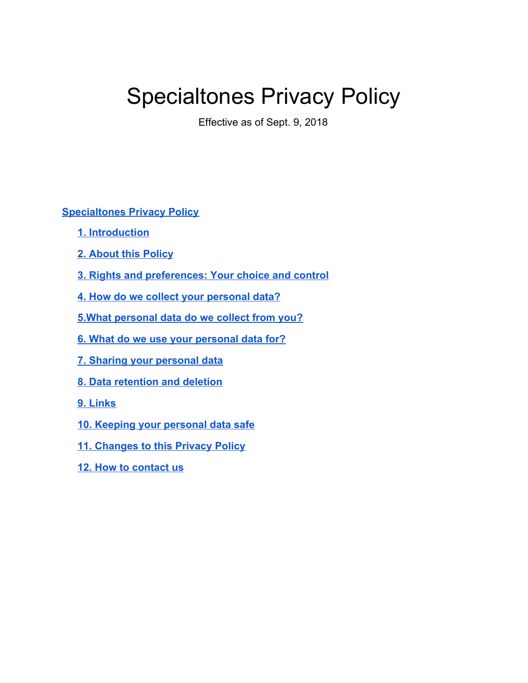# <span id="page-0-0"></span>Specialtones Privacy Policy

Effective as of Sept. 9, 2018

#### **[Specialtones Privacy Policy](#page-0-0)**

- **[1. Introduction](#page-0-1)**
- **[2. About this Policy](#page-1-0)**
- **[3. Rights and preferences: Your choice and control](#page-2-0)**
- **[4. How do we collect your personal data?](#page-2-1)**
- **[5.What personal data do we collect from you?](#page-4-0)**
- **[6. What do we use your personal data for?](#page-7-0)**
- **7. Sharing your personal data**
- **[8. Data retention and deletion](#page-10-0)**
- **[9. Links](#page-11-0)**
- **[10. Keeping your personal data safe](#page-11-1)**
- **[11. Changes to this Privacy Policy](#page-11-2)**
- <span id="page-0-1"></span>**[12. How to contact us](#page-11-3)**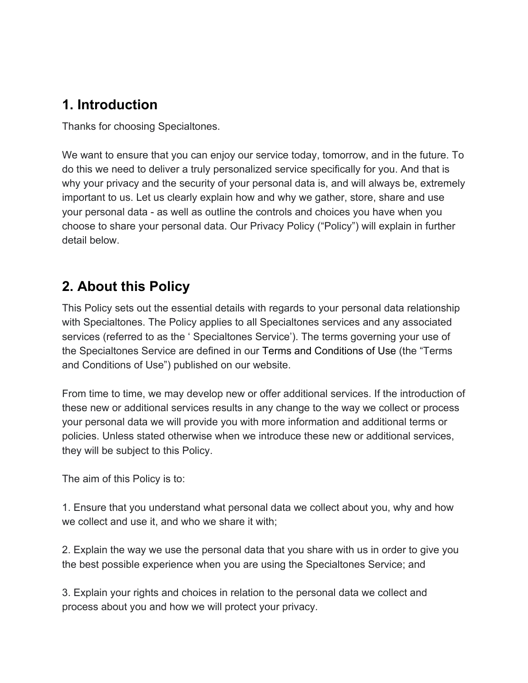# **1. Introduction**

Thanks for choosing Specialtones.

We want to ensure that you can enjoy our service today, tomorrow, and in the future. To do this we need to deliver a truly personalized service specifically for you. And that is why your privacy and the security of your personal data is, and will always be, extremely important to us. Let us clearly explain how and why we gather, store, share and use your personal data - as well as outline the controls and choices you have when you choose to share your personal data. Our Privacy Policy ("Policy") will explain in further detail below.

# <span id="page-1-0"></span>**2. About this Policy**

This Policy sets out the essential details with regards to your personal data relationship with Specialtones. The Policy applies to all Specialtones services and any associated services (referred to as the ' Specialtones Service'). The terms governing your use of the Specialtones Service are defined in our Terms and Conditions of Use (the "Terms and Conditions of Use") published on our website.

From time to time, we may develop new or offer additional services. If the introduction of these new or additional services results in any change to the way we collect or process your personal data we will provide you with more information and additional terms or policies. Unless stated otherwise when we introduce these new or additional services, they will be subject to this Policy.

The aim of this Policy is to:

1. Ensure that you understand what personal data we collect about you, why and how we collect and use it, and who we share it with;

2. Explain the way we use the personal data that you share with us in order to give you the best possible experience when you are using the Specialtones Service; and

3. Explain your rights and choices in relation to the personal data we collect and process about you and how we will protect your privacy.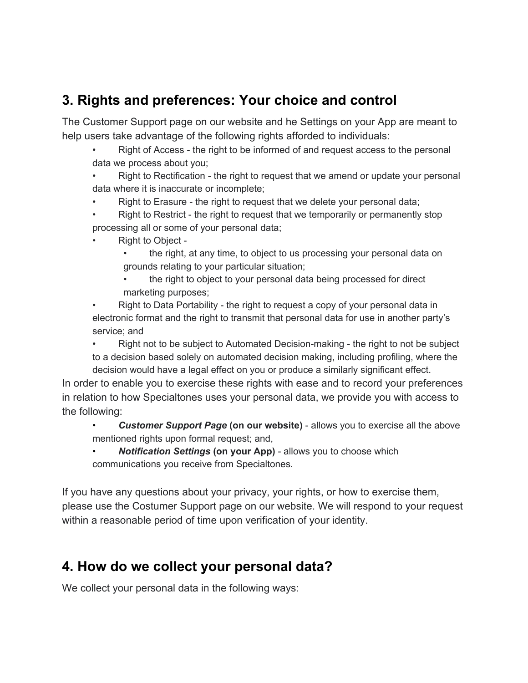# <span id="page-2-0"></span>**3. Rights and preferences: Your choice and control**

The Customer Support page on our website and he Settings on your App are meant to help users take advantage of the following rights afforded to individuals:

• Right of Access - the right to be informed of and request access to the personal data we process about you;

• Right to Rectification - the right to request that we amend or update your personal data where it is inaccurate or incomplete;

- Right to Erasure the right to request that we delete your personal data;
- Right to Restrict the right to request that we temporarily or permanently stop processing all or some of your personal data;
- Right to Object
	- the right, at any time, to object to us processing your personal data on grounds relating to your particular situation;
	- the right to object to your personal data being processed for direct marketing purposes;

• Right to Data Portability - the right to request a copy of your personal data in electronic format and the right to transmit that personal data for use in another party's service; and

• Right not to be subject to Automated Decision-making - the right to not be subject to a decision based solely on automated decision making, including profiling, where the decision would have a legal effect on you or produce a similarly significant effect.

In order to enable you to exercise these rights with ease and to record your preferences in relation to how Specialtones uses your personal data, we provide you with access to the following:

• *Customer Support Page* **(on our website)** - allows you to exercise all the above mentioned rights upon formal request; and,

• *Notification Settings* **(on your App)** - allows you to choose which communications you receive from Specialtones.

If you have any questions about your privacy, your rights, or how to exercise them, please use the Costumer Support page on our website. We will respond to your request within a reasonable period of time upon verification of your identity.

## <span id="page-2-1"></span>**4. How do we collect your personal data?**

We collect your personal data in the following ways: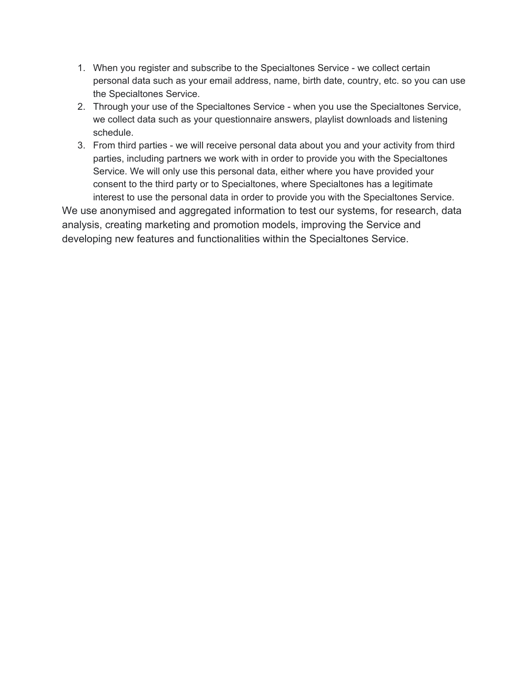- 1. When you register and subscribe to the Specialtones Service we collect certain personal data such as your email address, name, birth date, country, etc. so you can use the Specialtones Service.
- 2. Through your use of the Specialtones Service when you use the Specialtones Service, we collect data such as your questionnaire answers, playlist downloads and listening schedule.
- 3. From third parties we will receive personal data about you and your activity from third parties, including partners we work with in order to provide you with the Specialtones Service. We will only use this personal data, either where you have provided your consent to the third party or to Specialtones, where Specialtones has a legitimate interest to use the personal data in order to provide you with the Specialtones Service.

We use anonymised and aggregated information to test our systems, for research, data analysis, creating marketing and promotion models, improving the Service and developing new features and functionalities within the Specialtones Service.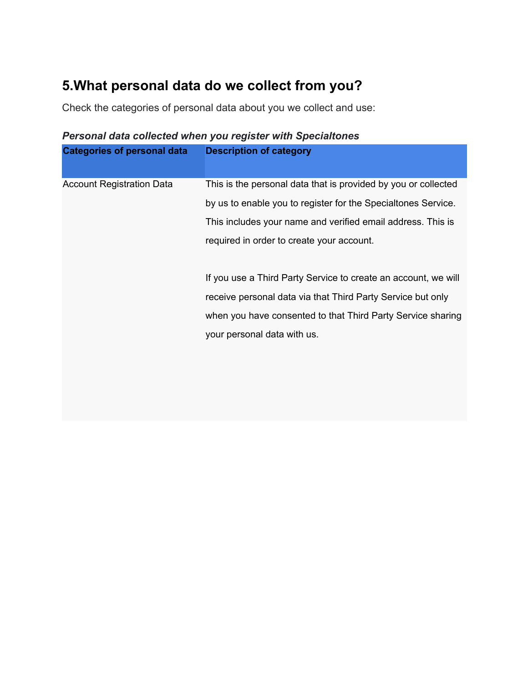# <span id="page-4-0"></span>**5.What personal data do we collect from you?**

Check the categories of personal data about you we collect and use:

| <b>Categories of personal data</b> | <b>Description of category</b>                                 |
|------------------------------------|----------------------------------------------------------------|
| <b>Account Registration Data</b>   | This is the personal data that is provided by you or collected |
|                                    | by us to enable you to register for the Specialtones Service.  |
|                                    | This includes your name and verified email address. This is    |
|                                    | required in order to create your account.                      |
|                                    |                                                                |
|                                    | If you use a Third Party Service to create an account, we will |
|                                    | receive personal data via that Third Party Service but only    |
|                                    | when you have consented to that Third Party Service sharing    |
|                                    | your personal data with us.                                    |
|                                    |                                                                |
|                                    |                                                                |
|                                    |                                                                |

#### *Personal data collected when you register with Specialtones*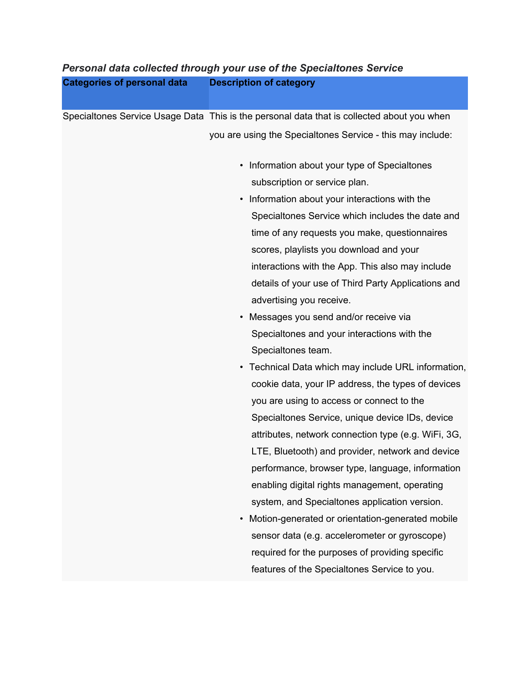#### *Personal data collected through your use of the Specialtones Service* **Categories of personal data Description of category**

Specialtones Service Usage Data This is the personal data that is collected about you when you are using the Specialtones Service - this may include:

- Information about your type of Specialtones subscription or service plan.
- Information about your interactions with the Specialtones Service which includes the date and time of any requests you make, questionnaires scores, playlists you download and your interactions with the App. This also may include details of your use of Third Party Applications and advertising you receive.
- Messages you send and/or receive via Specialtones and your interactions with the Specialtones team.
- Technical Data which may include URL information, cookie data, your IP address, the types of devices you are using to access or connect to the Specialtones Service, unique device IDs, device attributes, network connection type (e.g. WiFi, 3G, LTE, Bluetooth) and provider, network and device performance, browser type, language, information enabling digital rights management, operating system, and Specialtones application version.
- Motion-generated or orientation-generated mobile sensor data (e.g. accelerometer or gyroscope) required for the purposes of providing specific features of the Specialtones Service to you.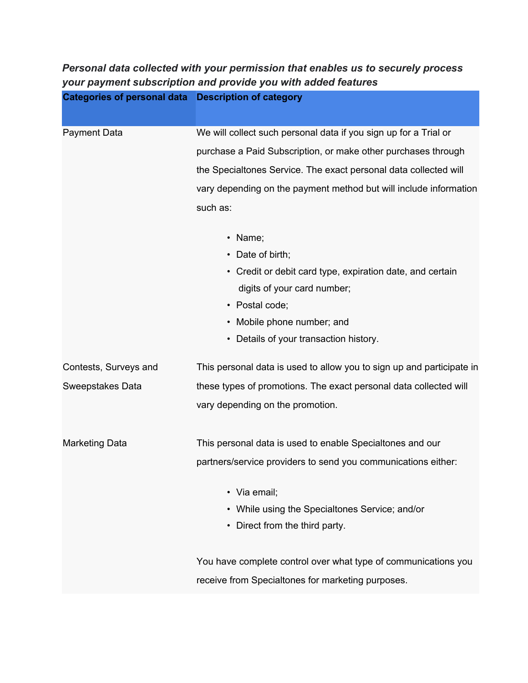| <b>Categories of personal data Description of category</b> |                                                                       |
|------------------------------------------------------------|-----------------------------------------------------------------------|
|                                                            |                                                                       |
| <b>Payment Data</b>                                        | We will collect such personal data if you sign up for a Trial or      |
|                                                            | purchase a Paid Subscription, or make other purchases through         |
|                                                            | the Specialtones Service. The exact personal data collected will      |
|                                                            | vary depending on the payment method but will include information     |
|                                                            | such as:                                                              |
|                                                            | Name;<br>$\bullet$                                                    |
|                                                            | Date of birth;<br>$\bullet$                                           |
|                                                            | • Credit or debit card type, expiration date, and certain             |
|                                                            | digits of your card number;                                           |
|                                                            | • Postal code;                                                        |
|                                                            | Mobile phone number; and<br>$\bullet$                                 |
|                                                            | Details of your transaction history.<br>٠                             |
| Contests, Surveys and                                      | This personal data is used to allow you to sign up and participate in |
| Sweepstakes Data                                           | these types of promotions. The exact personal data collected will     |
|                                                            | vary depending on the promotion.                                      |
| <b>Marketing Data</b>                                      | This personal data is used to enable Specialtones and our             |
|                                                            | partners/service providers to send you communications either:         |
|                                                            | • Via email;                                                          |
|                                                            | • While using the Specialtones Service; and/or                        |
|                                                            | Direct from the third party.<br>$\bullet$                             |
|                                                            | You have complete control over what type of communications you        |
|                                                            | receive from Specialtones for marketing purposes.                     |

*Personal data collected with your permission that enables us to securely process*

*your payment subscription and provide you with added features*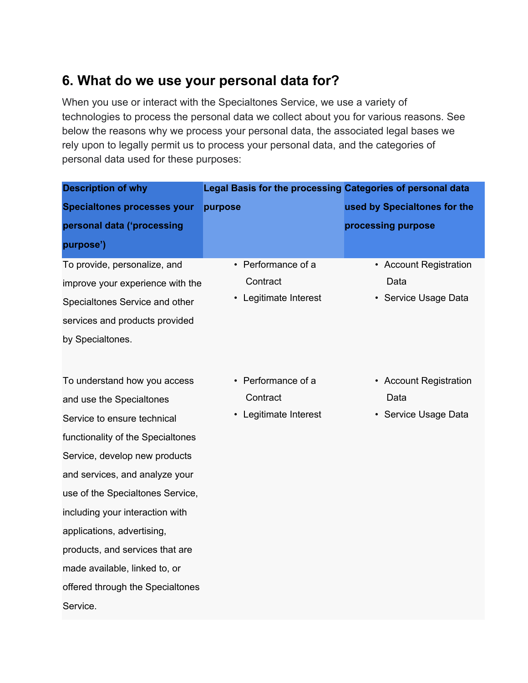## <span id="page-7-0"></span>**6. What do we use your personal data for?**

When you use or interact with the Specialtones Service, we use a variety of technologies to process the personal data we collect about you for various reasons. See below the reasons why we process your personal data, the associated legal bases we rely upon to legally permit us to process your personal data, and the categories of personal data used for these purposes:

| <b>Description of why</b>                                                                                                                                                                                                                                                                                                                                                                                                | Legal Basis for the processing Categories of personal data |                                                        |
|--------------------------------------------------------------------------------------------------------------------------------------------------------------------------------------------------------------------------------------------------------------------------------------------------------------------------------------------------------------------------------------------------------------------------|------------------------------------------------------------|--------------------------------------------------------|
| <b>Specialtones processes your</b>                                                                                                                                                                                                                                                                                                                                                                                       | purpose                                                    | used by Specialtones for the                           |
| personal data ('processing                                                                                                                                                                                                                                                                                                                                                                                               |                                                            | processing purpose                                     |
| purpose')                                                                                                                                                                                                                                                                                                                                                                                                                |                                                            |                                                        |
| To provide, personalize, and<br>improve your experience with the<br>Specialtones Service and other<br>services and products provided<br>by Specialtones.                                                                                                                                                                                                                                                                 | • Performance of a<br>Contract<br>• Legitimate Interest    | • Account Registration<br>Data<br>• Service Usage Data |
| To understand how you access<br>and use the Specialtones<br>Service to ensure technical<br>functionality of the Specialtones<br>Service, develop new products<br>and services, and analyze your<br>use of the Specialtones Service,<br>including your interaction with<br>applications, advertising,<br>products, and services that are<br>made available, linked to, or<br>offered through the Specialtones<br>Service. | • Performance of a<br>Contract<br>Legitimate Interest      | • Account Registration<br>Data<br>• Service Usage Data |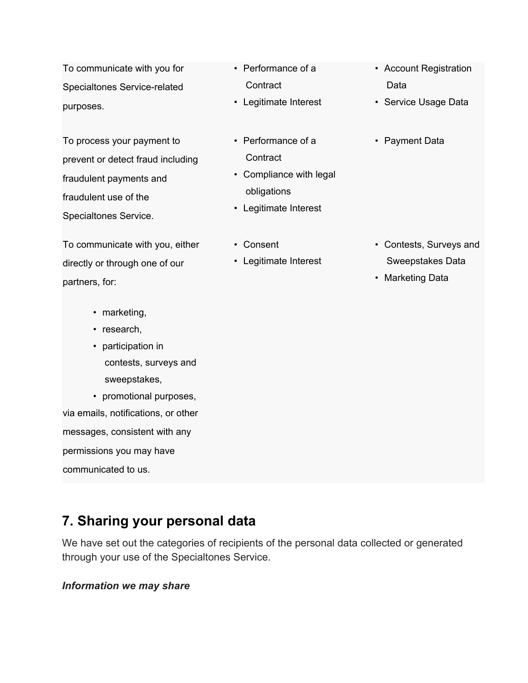To communicate with you for Specialtones Service-related purposes.

To process your payment to prevent or detect fraud including fraudulent payments and fraudulent use of the Specialtones Service.

To communicate with you, either directly or through one of our partners, for:

- marketing,
- research,
- participation in contests, surveys and sweepstakes,

• promotional purposes, via emails, notifications, or other messages, consistent with any permissions you may have communicated to us.

- Performance of a **Contract**
- Legitimate Interest
- Performance of a **Contract**
- Compliance with legal obligations
- Legitimate Interest
- Consent
- Legitimate Interest
- Account Registration Data
- Service Usage Data
- Payment Data

- Contests, Surveys and Sweepstakes Data
- Marketing Data

## **7. Sharing your personal data**

We have set out the categories of recipients of the personal data collected or generated through your use of the Specialtones Service.

#### *Information we may share*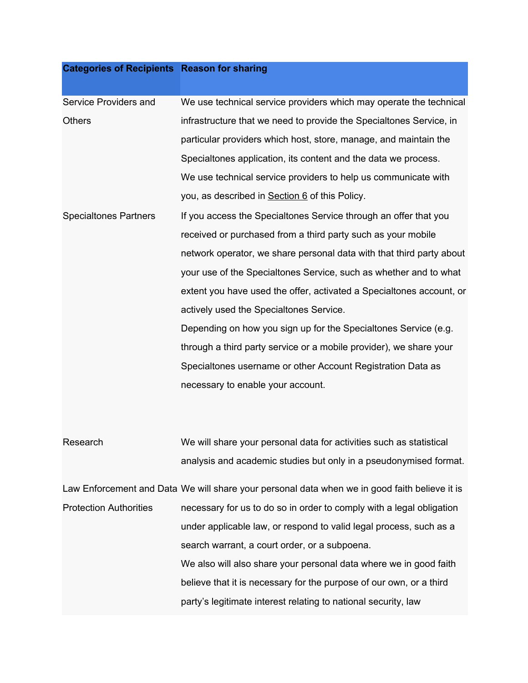### **Categories of Recipients Reason for sharing**

| Service Providers and         | We use technical service providers which may operate the technical                            |
|-------------------------------|-----------------------------------------------------------------------------------------------|
| <b>Others</b>                 | infrastructure that we need to provide the Specialtones Service, in                           |
|                               | particular providers which host, store, manage, and maintain the                              |
|                               | Specialtones application, its content and the data we process.                                |
|                               | We use technical service providers to help us communicate with                                |
|                               | you, as described in Section 6 of this Policy.                                                |
| <b>Specialtones Partners</b>  | If you access the Specialtones Service through an offer that you                              |
|                               | received or purchased from a third party such as your mobile                                  |
|                               | network operator, we share personal data with that third party about                          |
|                               | your use of the Specialtones Service, such as whether and to what                             |
|                               | extent you have used the offer, activated a Specialtones account, or                          |
|                               | actively used the Specialtones Service.                                                       |
|                               | Depending on how you sign up for the Specialtones Service (e.g.                               |
|                               | through a third party service or a mobile provider), we share your                            |
|                               | Specialtones username or other Account Registration Data as                                   |
|                               | necessary to enable your account.                                                             |
|                               |                                                                                               |
|                               |                                                                                               |
| Research                      | We will share your personal data for activities such as statistical                           |
|                               | analysis and academic studies but only in a pseudonymised format.                             |
|                               | Law Enforcement and Data We will share your personal data when we in good faith believe it is |
| <b>Protection Authorities</b> | necessary for us to do so in order to comply with a legal obligation                          |
|                               | under applicable law, or respond to valid legal process, such as a                            |
|                               | search warrant, a court order, or a subpoena.                                                 |
|                               | We also will also share your personal data where we in good faith                             |
|                               | believe that it is necessary for the purpose of our own, or a third                           |
|                               | party's legitimate interest relating to national security, law                                |
|                               |                                                                                               |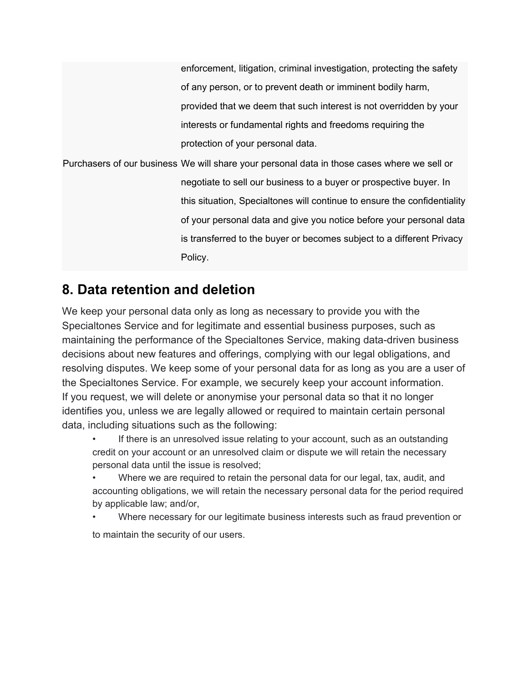## <span id="page-10-0"></span>**8. Data retention and deletion**

We keep your personal data only as long as necessary to provide you with the Specialtones Service and for legitimate and essential business purposes, such as maintaining the performance of the Specialtones Service, making data-driven business decisions about new features and offerings, complying with our legal obligations, and resolving disputes. We keep some of your personal data for as long as you are a user of the Specialtones Service. For example, we securely keep your account information. If you request, we will delete or anonymise your personal data so that it no longer identifies you, unless we are legally allowed or required to maintain certain personal data, including situations such as the following:

If there is an unresolved issue relating to your account, such as an outstanding credit on your account or an unresolved claim or dispute we will retain the necessary personal data until the issue is resolved;

• Where we are required to retain the personal data for our legal, tax, audit, and accounting obligations, we will retain the necessary personal data for the period required by applicable law; and/or,

• Where necessary for our legitimate business interests such as fraud prevention or to maintain the security of our users.